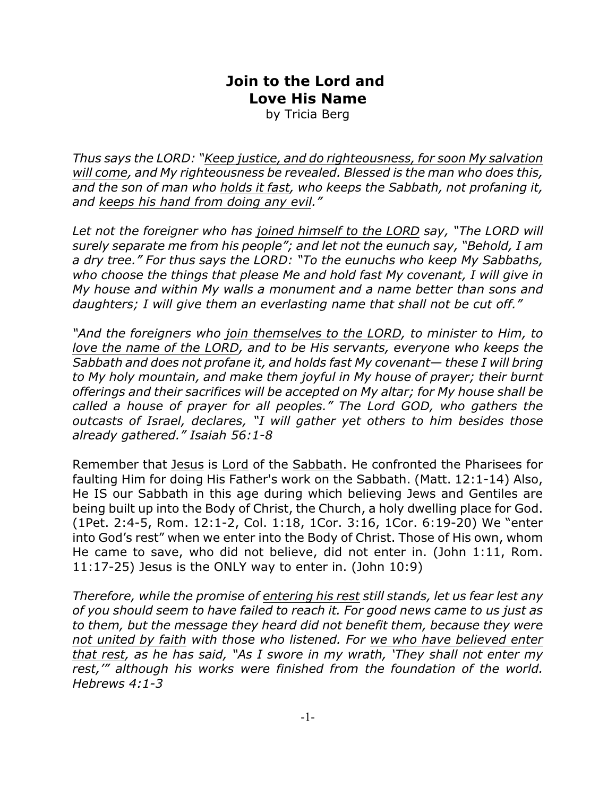## **Join to the Lord and Love His Name**

by Tricia Berg

*Thus says the LORD: "Keep justice, and do righteousness, for soon My salvation will come, and My righteousness be revealed. Blessed is the man who does this, and the son of man who holds it fast, who keeps the Sabbath, not profaning it, and keeps his hand from doing any evil."* 

*Let not the foreigner who has joined himself to the LORD say, "The LORD will surely separate me from his people"; and let not the eunuch say, "Behold, I am a dry tree." For thus says the LORD: "To the eunuchs who keep My Sabbaths, who choose the things that please Me and hold fast My covenant, I will give in My house and within My walls a monument and a name better than sons and daughters; I will give them an everlasting name that shall not be cut off."* 

*"And the foreigners who join themselves to the LORD, to minister to Him, to love the name of the LORD, and to be His servants, everyone who keeps the Sabbath and does not profane it, and holds fast My covenant— these I will bring to My holy mountain, and make them joyful in My house of prayer; their burnt offerings and their sacrifices will be accepted on My altar; for My house shall be called a house of prayer for all peoples." The Lord GOD, who gathers the outcasts of Israel, declares, "I will gather yet others to him besides those already gathered." Isaiah 56:1-8*

Remember that Jesus is Lord of the Sabbath. He confronted the Pharisees for faulting Him for doing His Father's work on the Sabbath. (Matt. 12:1-14) Also, He IS our Sabbath in this age during which believing Jews and Gentiles are being built up into the Body of Christ, the Church, a holy dwelling place for God. (1Pet. 2:4-5, Rom. 12:1-2, Col. 1:18, 1Cor. 3:16, 1Cor. 6:19-20) We "enter into God's rest" when we enter into the Body of Christ. Those of His own, whom He came to save, who did not believe, did not enter in. (John 1:11, Rom. 11:17-25) Jesus is the ONLY way to enter in. (John 10:9)

*Therefore, while the promise of entering his rest still stands, let us fear lest any of you should seem to have failed to reach it. For good news came to us just as to them, but the message they heard did not benefit them, because they were not united by faith with those who listened. For we who have believed enter that rest, as he has said, "As I swore in my wrath, 'They shall not enter my rest,'" although his works were finished from the foundation of the world. Hebrews 4:1-3*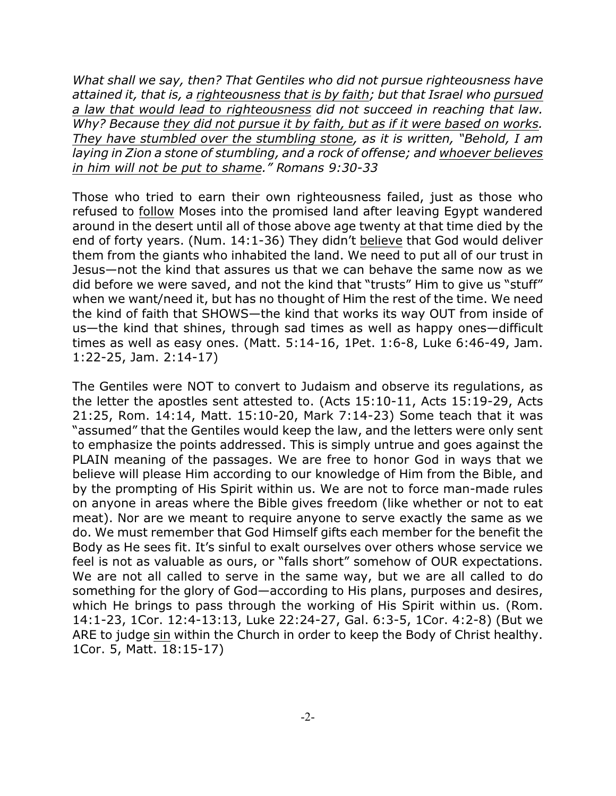*What shall we say, then? That Gentiles who did not pursue righteousness have attained it, that is, a righteousness that is by faith; but that Israel who pursued a law that would lead to righteousness did not succeed in reaching that law. Why? Because they did not pursue it by faith, but as if it were based on works. They have stumbled over the stumbling stone, as it is written, "Behold, I am laying in Zion a stone of stumbling, and a rock of offense; and whoever believes in him will not be put to shame." Romans 9:30-33*

Those who tried to earn their own righteousness failed, just as those who refused to follow Moses into the promised land after leaving Egypt wandered around in the desert until all of those above age twenty at that time died by the end of forty years. (Num. 14:1-36) They didn't believe that God would deliver them from the giants who inhabited the land. We need to put all of our trust in Jesus—not the kind that assures us that we can behave the same now as we did before we were saved, and not the kind that "trusts" Him to give us "stuff" when we want/need it, but has no thought of Him the rest of the time. We need the kind of faith that SHOWS—the kind that works its way OUT from inside of us—the kind that shines, through sad times as well as happy ones—difficult times as well as easy ones. (Matt. 5:14-16, 1Pet. 1:6-8, Luke 6:46-49, Jam. 1:22-25, Jam. 2:14-17)

The Gentiles were NOT to convert to Judaism and observe its regulations, as the letter the apostles sent attested to. (Acts 15:10-11, Acts 15:19-29, Acts 21:25, Rom. 14:14, Matt. 15:10-20, Mark 7:14-23) Some teach that it was "assumed" that the Gentiles would keep the law, and the letters were only sent to emphasize the points addressed. This is simply untrue and goes against the PLAIN meaning of the passages. We are free to honor God in ways that we believe will please Him according to our knowledge of Him from the Bible, and by the prompting of His Spirit within us. We are not to force man-made rules on anyone in areas where the Bible gives freedom (like whether or not to eat meat). Nor are we meant to require anyone to serve exactly the same as we do. We must remember that God Himself gifts each member for the benefit the Body as He sees fit. It's sinful to exalt ourselves over others whose service we feel is not as valuable as ours, or "falls short" somehow of OUR expectations. We are not all called to serve in the same way, but we are all called to do something for the glory of God—according to His plans, purposes and desires, which He brings to pass through the working of His Spirit within us. (Rom. 14:1-23, 1Cor. 12:4-13:13, Luke 22:24-27, Gal. 6:3-5, 1Cor. 4:2-8) (But we ARE to judge sin within the Church in order to keep the Body of Christ healthy. 1Cor. 5, Matt. 18:15-17)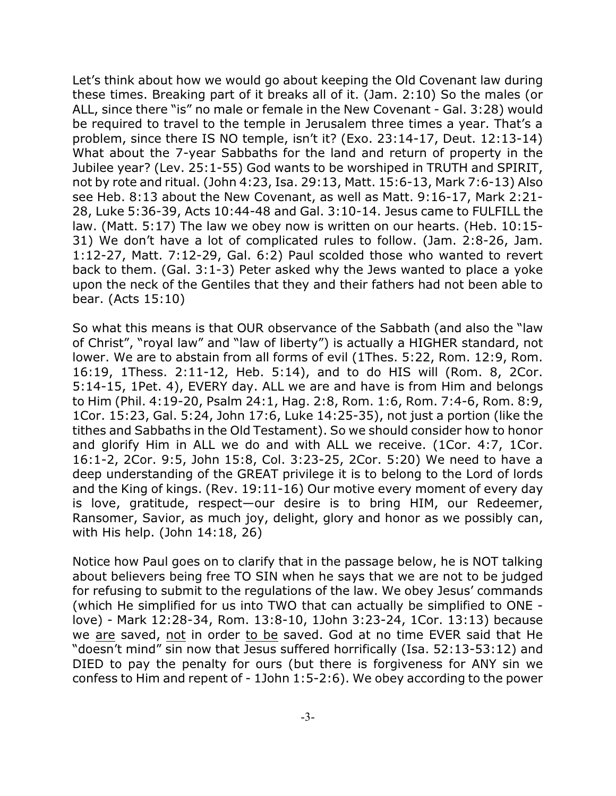Let's think about how we would go about keeping the Old Covenant law during these times. Breaking part of it breaks all of it. (Jam. 2:10) So the males (or ALL, since there "is" no male or female in the New Covenant - Gal. 3:28) would be required to travel to the temple in Jerusalem three times a year. That's a problem, since there IS NO temple, isn't it? (Exo. 23:14-17, Deut. 12:13-14) What about the 7-year Sabbaths for the land and return of property in the Jubilee year? (Lev. 25:1-55) God wants to be worshiped in TRUTH and SPIRIT, not by rote and ritual. (John 4:23, Isa. 29:13, Matt. 15:6-13, Mark 7:6-13) Also see Heb. 8:13 about the New Covenant, as well as Matt. 9:16-17, Mark 2:21- 28, Luke 5:36-39, Acts 10:44-48 and Gal. 3:10-14. Jesus came to FULFILL the law. (Matt. 5:17) The law we obey now is written on our hearts. (Heb. 10:15- 31) We don't have a lot of complicated rules to follow. (Jam. 2:8-26, Jam. 1:12-27, Matt. 7:12-29, Gal. 6:2) Paul scolded those who wanted to revert back to them. (Gal. 3:1-3) Peter asked why the Jews wanted to place a yoke upon the neck of the Gentiles that they and their fathers had not been able to bear. (Acts 15:10)

So what this means is that OUR observance of the Sabbath (and also the "law of Christ", "royal law" and "law of liberty") is actually a HIGHER standard, not lower. We are to abstain from all forms of evil (1Thes. 5:22, Rom. 12:9, Rom. 16:19, 1Thess. 2:11-12, Heb. 5:14), and to do HIS will (Rom. 8, 2Cor. 5:14-15, 1Pet. 4), EVERY day. ALL we are and have is from Him and belongs to Him (Phil. 4:19-20, Psalm 24:1, Hag. 2:8, Rom. 1:6, Rom. 7:4-6, Rom. 8:9, 1Cor. 15:23, Gal. 5:24, John 17:6, Luke 14:25-35), not just a portion (like the tithes and Sabbaths in the Old Testament). So we should consider how to honor and glorify Him in ALL we do and with ALL we receive. (1Cor. 4:7, 1Cor. 16:1-2, 2Cor. 9:5, John 15:8, Col. 3:23-25, 2Cor. 5:20) We need to have a deep understanding of the GREAT privilege it is to belong to the Lord of lords and the King of kings. (Rev. 19:11-16) Our motive every moment of every day is love, gratitude, respect—our desire is to bring HIM, our Redeemer, Ransomer, Savior, as much joy, delight, glory and honor as we possibly can, with His help. (John 14:18, 26)

Notice how Paul goes on to clarify that in the passage below, he is NOT talking about believers being free TO SIN when he says that we are not to be judged for refusing to submit to the regulations of the law. We obey Jesus' commands (which He simplified for us into TWO that can actually be simplified to ONE love) - Mark 12:28-34, Rom. 13:8-10, 1John 3:23-24, 1Cor. 13:13) because we are saved, not in order to be saved. God at no time EVER said that He "doesn't mind" sin now that Jesus suffered horrifically (Isa. 52:13-53:12) and DIED to pay the penalty for ours (but there is forgiveness for ANY sin we confess to Him and repent of - 1John 1:5-2:6). We obey according to the power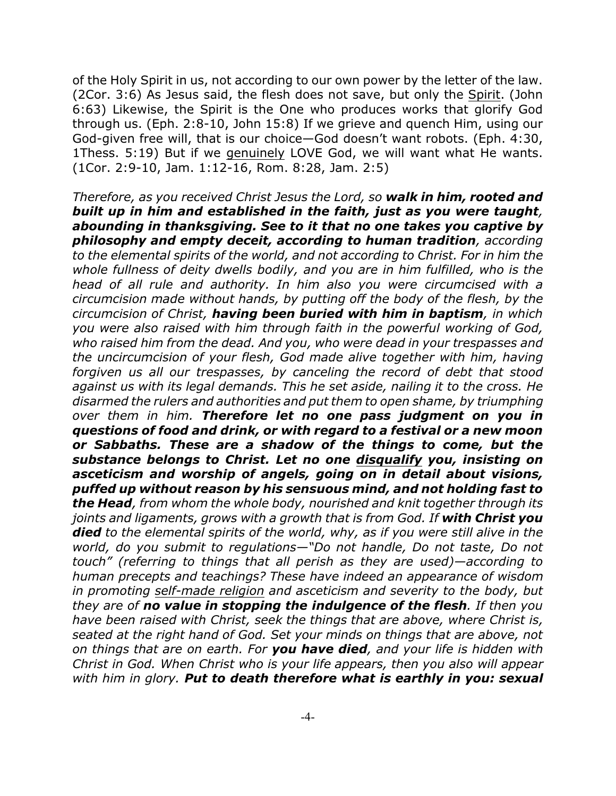of the Holy Spirit in us, not according to our own power by the letter of the law. (2Cor. 3:6) As Jesus said, the flesh does not save, but only the Spirit. (John 6:63) Likewise, the Spirit is the One who produces works that glorify God through us. (Eph. 2:8-10, John 15:8) If we grieve and quench Him, using our God-given free will, that is our choice—God doesn't want robots. (Eph. 4:30, 1Thess. 5:19) But if we genuinely LOVE God, we will want what He wants. (1Cor. 2:9-10, Jam. 1:12-16, Rom. 8:28, Jam. 2:5)

*Therefore, as you received Christ Jesus the Lord, so walk in him, rooted and built up in him and established in the faith, just as you were taught, abounding in thanksgiving. See to it that no one takes you captive by philosophy and empty deceit, according to human tradition, according to the elemental spirits of the world, and not according to Christ. For in him the whole fullness of deity dwells bodily, and you are in him fulfilled, who is the head of all rule and authority. In him also you were circumcised with a circumcision made without hands, by putting off the body of the flesh, by the circumcision of Christ, having been buried with him in baptism, in which you were also raised with him through faith in the powerful working of God, who raised him from the dead. And you, who were dead in your trespasses and the uncircumcision of your flesh, God made alive together with him, having forgiven us all our trespasses, by canceling the record of debt that stood against us with its legal demands. This he set aside, nailing it to the cross. He disarmed the rulers and authorities and put them to open shame, by triumphing over them in him. Therefore let no one pass judgment on you in questions of food and drink, or with regard to a festival or a new moon or Sabbaths. These are a shadow of the things to come, but the substance belongs to Christ. Let no one disqualify you, insisting on asceticism and worship of angels, going on in detail about visions, puffed up without reason by his sensuous mind, and not holding fast to the Head, from whom the whole body, nourished and knit together through its joints and ligaments, grows with a growth that is from God. If with Christ you died to the elemental spirits of the world, why, as if you were still alive in the world, do you submit to regulations—"Do not handle, Do not taste, Do not touch" (referring to things that all perish as they are used)—according to human precepts and teachings? These have indeed an appearance of wisdom in promoting self-made religion and asceticism and severity to the body, but they are of no value in stopping the indulgence of the flesh. If then you have been raised with Christ, seek the things that are above, where Christ is, seated at the right hand of God. Set your minds on things that are above, not on things that are on earth. For you have died, and your life is hidden with Christ in God. When Christ who is your life appears, then you also will appear with him in glory. Put to death therefore what is earthly in you: sexual*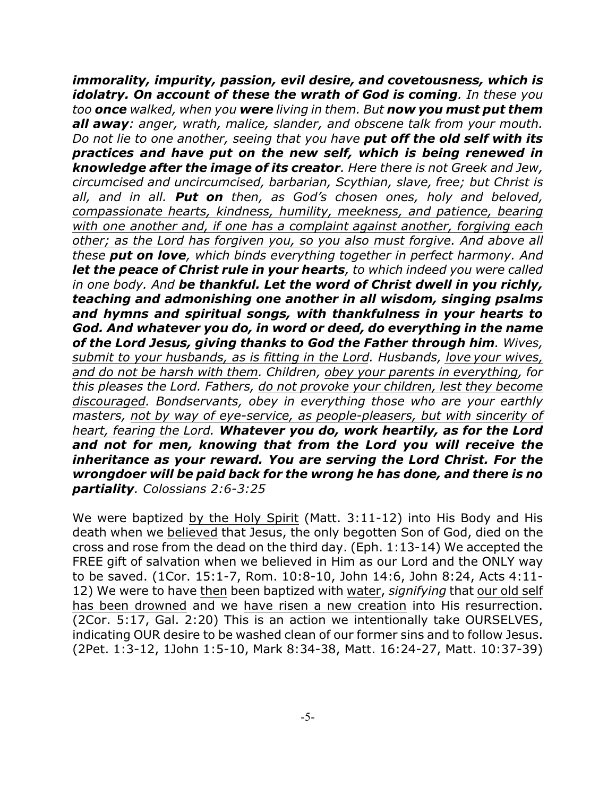*immorality, impurity, passion, evil desire, and covetousness, which is idolatry. On account of these the wrath of God is coming. In these you too once walked, when you were living in them. But now you must put them all away: anger, wrath, malice, slander, and obscene talk from your mouth. Do not lie to one another, seeing that you have put off the old self with its practices and have put on the new self, which is being renewed in knowledge after the image of its creator. Here there is not Greek and Jew, circumcised and uncircumcised, barbarian, Scythian, slave, free; but Christ is all, and in all. Put on then, as God's chosen ones, holy and beloved, compassionate hearts, kindness, humility, meekness, and patience, bearing with one another and, if one has a complaint against another, forgiving each other; as the Lord has forgiven you, so you also must forgive. And above all these put on love, which binds everything together in perfect harmony. And let the peace of Christ rule in your hearts, to which indeed you were called in one body. And be thankful. Let the word of Christ dwell in you richly, teaching and admonishing one another in all wisdom, singing psalms and hymns and spiritual songs, with thankfulness in your hearts to God. And whatever you do, in word or deed, do everything in the name of the Lord Jesus, giving thanks to God the Father through him. Wives, submit to your husbands, as is fitting in the Lord. Husbands, love your wives, and do not be harsh with them. Children, obey your parents in everything, for this pleases the Lord. Fathers, do not provoke your children, lest they become discouraged. Bondservants, obey in everything those who are your earthly masters, not by way of eye-service, as people-pleasers, but with sincerity of heart, fearing the Lord. Whatever you do, work heartily, as for the Lord and not for men, knowing that from the Lord you will receive the inheritance as your reward. You are serving the Lord Christ. For the wrongdoer will be paid back for the wrong he has done, and there is no partiality. Colossians 2:6-3:25*

We were baptized by the Holy Spirit (Matt. 3:11-12) into His Body and His death when we believed that Jesus, the only begotten Son of God, died on the cross and rose from the dead on the third day. (Eph. 1:13-14) We accepted the FREE gift of salvation when we believed in Him as our Lord and the ONLY way to be saved. (1Cor. 15:1-7, Rom. 10:8-10, John 14:6, John 8:24, Acts 4:11- 12) We were to have then been baptized with water, *signifying* that our old self has been drowned and we have risen a new creation into His resurrection. (2Cor. 5:17, Gal. 2:20) This is an action we intentionally take OURSELVES, indicating OUR desire to be washed clean of our former sins and to follow Jesus. (2Pet. 1:3-12, 1John 1:5-10, Mark 8:34-38, Matt. 16:24-27, Matt. 10:37-39)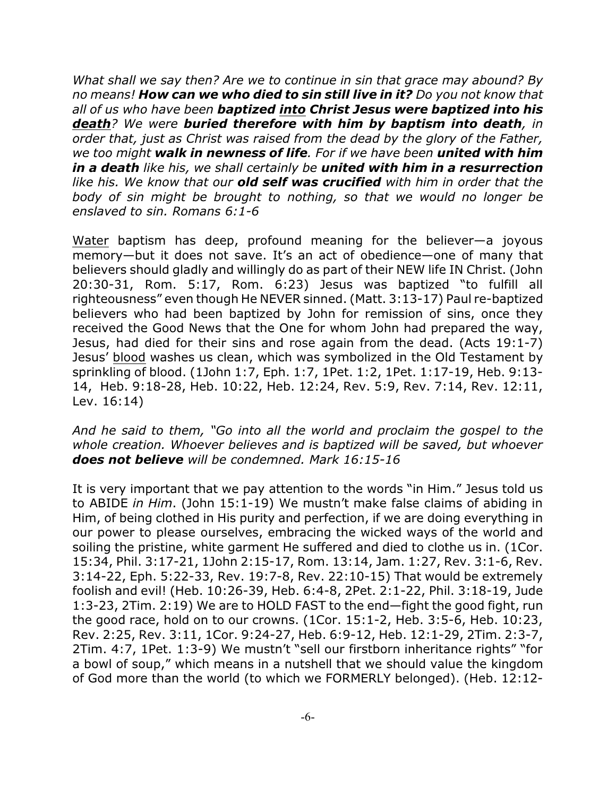*What shall we say then? Are we to continue in sin that grace may abound? By no means! How can we who died to sin still live in it? Do you not know that all of us who have been baptized into Christ Jesus were baptized into his death? We were buried therefore with him by baptism into death, in order that, just as Christ was raised from the dead by the glory of the Father, we too might walk in newness of life. For if we have been united with him in a death like his, we shall certainly be united with him in a resurrection like his. We know that our old self was crucified with him in order that the body of sin might be brought to nothing, so that we would no longer be enslaved to sin. Romans 6:1-6*

Water baptism has deep, profound meaning for the believer—a joyous memory—but it does not save. It's an act of obedience—one of many that believers should gladly and willingly do as part of their NEW life IN Christ. (John 20:30-31, Rom. 5:17, Rom. 6:23) Jesus was baptized "to fulfill all righteousness" even though He NEVER sinned. (Matt. 3:13-17) Paul re-baptized believers who had been baptized by John for remission of sins, once they received the Good News that the One for whom John had prepared the way, Jesus, had died for their sins and rose again from the dead. (Acts 19:1-7) Jesus' blood washes us clean, which was symbolized in the Old Testament by sprinkling of blood. (1John 1:7, Eph. 1:7, 1Pet. 1:2, 1Pet. 1:17-19, Heb. 9:13- 14, Heb. 9:18-28, Heb. 10:22, Heb. 12:24, Rev. 5:9, Rev. 7:14, Rev. 12:11, Lev. 16:14)

*And he said to them, "Go into all the world and proclaim the gospel to the whole creation. Whoever believes and is baptized will be saved, but whoever does not believe will be condemned. Mark 16:15-16*

It is very important that we pay attention to the words "in Him." Jesus told us to ABIDE *in Him*. (John 15:1-19) We mustn't make false claims of abiding in Him, of being clothed in His purity and perfection, if we are doing everything in our power to please ourselves, embracing the wicked ways of the world and soiling the pristine, white garment He suffered and died to clothe us in. (1Cor. 15:34, Phil. 3:17-21, 1John 2:15-17, Rom. 13:14, Jam. 1:27, Rev. 3:1-6, Rev. 3:14-22, Eph. 5:22-33, Rev. 19:7-8, Rev. 22:10-15) That would be extremely foolish and evil! (Heb. 10:26-39, Heb. 6:4-8, 2Pet. 2:1-22, Phil. 3:18-19, Jude 1:3-23, 2Tim. 2:19) We are to HOLD FAST to the end—fight the good fight, run the good race, hold on to our crowns. (1Cor. 15:1-2, Heb. 3:5-6, Heb. 10:23, Rev. 2:25, Rev. 3:11, 1Cor. 9:24-27, Heb. 6:9-12, Heb. 12:1-29, 2Tim. 2:3-7, 2Tim. 4:7, 1Pet. 1:3-9) We mustn't "sell our firstborn inheritance rights" "for a bowl of soup," which means in a nutshell that we should value the kingdom of God more than the world (to which we FORMERLY belonged). (Heb. 12:12-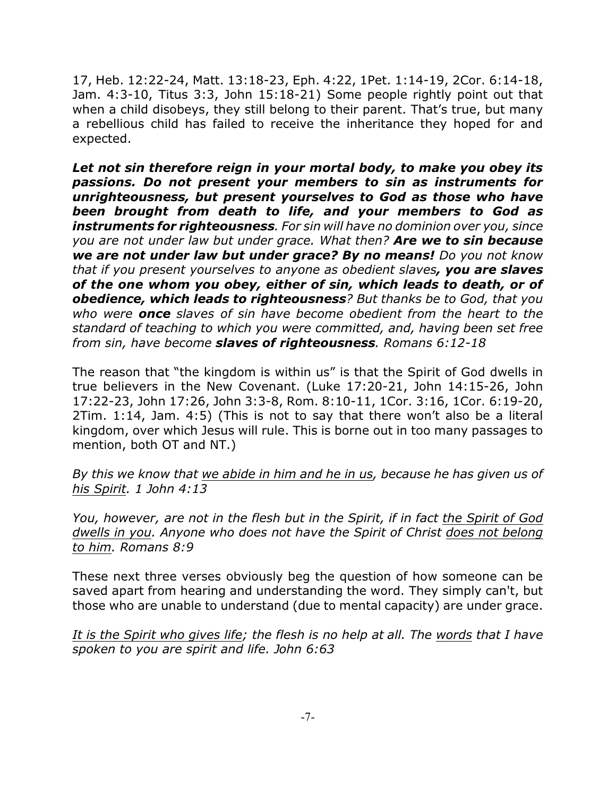17, Heb. 12:22-24, Matt. 13:18-23, Eph. 4:22, 1Pet. 1:14-19, 2Cor. 6:14-18, Jam. 4:3-10, Titus 3:3, John 15:18-21) Some people rightly point out that when a child disobeys, they still belong to their parent. That's true, but many a rebellious child has failed to receive the inheritance they hoped for and expected.

*Let not sin therefore reign in your mortal body, to make you obey its passions. Do not present your members to sin as instruments for unrighteousness, but present yourselves to God as those who have been brought from death to life, and your members to God as instruments for righteousness. For sin will have no dominion over you, since you are not under law but under grace. What then? Are we to sin because we are not under law but under grace? By no means! Do you not know that if you present yourselves to anyone as obedient slaves, you are slaves of the one whom you obey, either of sin, which leads to death, or of obedience, which leads to righteousness? But thanks be to God, that you who were once slaves of sin have become obedient from the heart to the standard of teaching to which you were committed, and, having been set free from sin, have become slaves of righteousness. Romans 6:12-18*

The reason that "the kingdom is within us" is that the Spirit of God dwells in true believers in the New Covenant. (Luke 17:20-21, John 14:15-26, John 17:22-23, John 17:26, John 3:3-8, Rom. 8:10-11, 1Cor. 3:16, 1Cor. 6:19-20, 2Tim. 1:14, Jam. 4:5) (This is not to say that there won't also be a literal kingdom, over which Jesus will rule. This is borne out in too many passages to mention, both OT and NT.)

*By this we know that we abide in him and he in us, because he has given us of his Spirit. 1 John 4:13*

*You, however, are not in the flesh but in the Spirit, if in fact the Spirit of God dwells in you. Anyone who does not have the Spirit of Christ does not belong to him. Romans 8:9*

These next three verses obviously beg the question of how someone can be saved apart from hearing and understanding the word. They simply can't, but those who are unable to understand (due to mental capacity) are under grace.

*It is the Spirit who gives life; the flesh is no help at all. The words that I have spoken to you are spirit and life. John 6:63*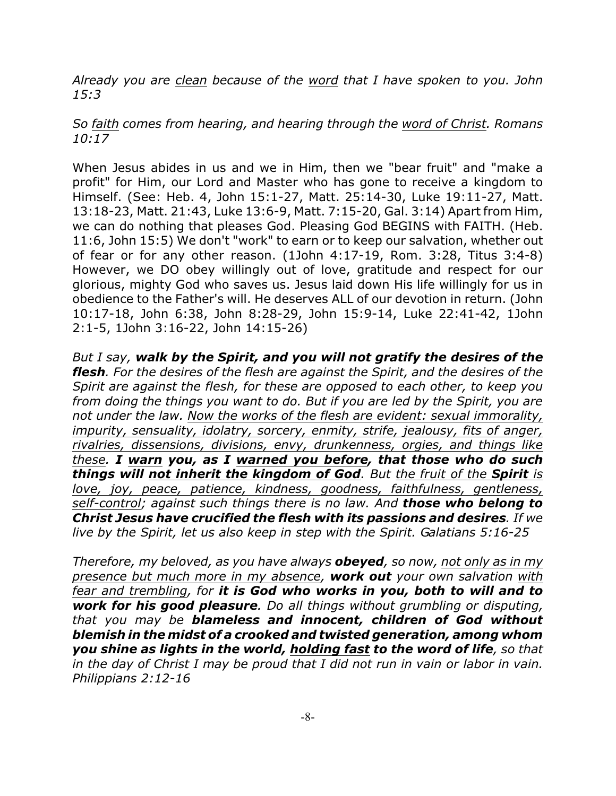*Already you are clean because of the word that I have spoken to you. John 15:3*

*So faith comes from hearing, and hearing through the word of Christ. Romans 10:17*

When Jesus abides in us and we in Him, then we "bear fruit" and "make a profit" for Him, our Lord and Master who has gone to receive a kingdom to Himself. (See: Heb. 4, John 15:1-27, Matt. 25:14-30, Luke 19:11-27, Matt. 13:18-23, Matt. 21:43, Luke 13:6-9, Matt. 7:15-20, Gal. 3:14) Apart from Him, we can do nothing that pleases God. Pleasing God BEGINS with FAITH. (Heb. 11:6, John 15:5) We don't "work" to earn or to keep our salvation, whether out of fear or for any other reason. (1John 4:17-19, Rom. 3:28, Titus 3:4-8) However, we DO obey willingly out of love, gratitude and respect for our glorious, mighty God who saves us. Jesus laid down His life willingly for us in obedience to the Father's will. He deserves ALL of our devotion in return. (John 10:17-18, John 6:38, John 8:28-29, John 15:9-14, Luke 22:41-42, 1John 2:1-5, 1John 3:16-22, John 14:15-26)

*But I say, walk by the Spirit, and you will not gratify the desires of the flesh. For the desires of the flesh are against the Spirit, and the desires of the Spirit are against the flesh, for these are opposed to each other, to keep you from doing the things you want to do. But if you are led by the Spirit, you are not under the law. Now the works of the flesh are evident: sexual immorality, impurity, sensuality, idolatry, sorcery, enmity, strife, jealousy, fits of anger, rivalries, dissensions, divisions, envy, drunkenness, orgies, and things like these. I warn you, as I warned you before, that those who do such things will not inherit the kingdom of God. But the fruit of the Spirit is love, joy, peace, patience, kindness, goodness, faithfulness, gentleness, self-control; against such things there is no law. And those who belong to Christ Jesus have crucified the flesh with its passions and desires. If we live by the Spirit, let us also keep in step with the Spirit. Galatians 5:16-25*

*Therefore, my beloved, as you have always obeyed, so now, not only as in my presence but much more in my absence, work out your own salvation with fear and trembling, for it is God who works in you, both to will and to work for his good pleasure. Do all things without grumbling or disputing, that you may be blameless and innocent, children of God without blemish in the midst of a crooked and twisted generation, among whom you shine as lights in the world, holding fast to the word of life, so that in the day of Christ I may be proud that I did not run in vain or labor in vain. Philippians 2:12-16*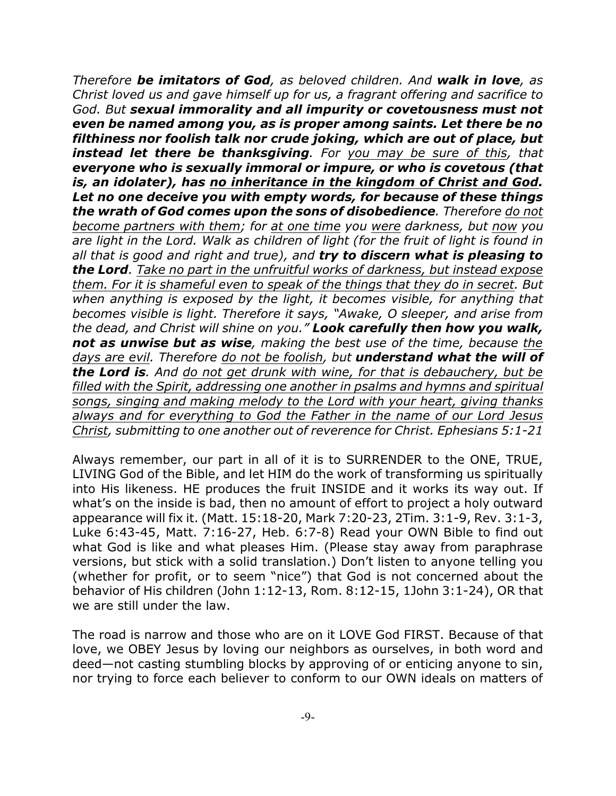*Therefore be imitators of God, as beloved children. And walk in love, as Christ loved us and gave himself up for us, a fragrant offering and sacrifice to God. But sexual immorality and all impurity or covetousness must not even be named among you, as is proper among saints. Let there be no filthiness nor foolish talk nor crude joking, which are out of place, but instead let there be thanksgiving. For you may be sure of this, that everyone who is sexually immoral or impure, or who is covetous (that is, an idolater), has no inheritance in the kingdom of Christ and God. Let no one deceive you with empty words, for because of these things the wrath of God comes upon the sons of disobedience. Therefore do not become partners with them; for at one time you were darkness, but now you are light in the Lord. Walk as children of light (for the fruit of light is found in all that is good and right and true), and try to discern what is pleasing to the Lord. Take no part in the unfruitful works of darkness, but instead expose them. For it is shameful even to speak of the things that they do in secret. But when anything is exposed by the light, it becomes visible, for anything that becomes visible is light. Therefore it says, "Awake, O sleeper, and arise from the dead, and Christ will shine on you." Look carefully then how you walk, not as unwise but as wise, making the best use of the time, because the days are evil. Therefore do not be foolish, but understand what the will of the Lord is. And do not get drunk with wine, for that is debauchery, but be filled with the Spirit, addressing one another in psalms and hymns and spiritual songs, singing and making melody to the Lord with your heart, giving thanks always and for everything to God the Father in the name of our Lord Jesus Christ, submitting to one another out of reverence for Christ. Ephesians 5:1-21*

Always remember, our part in all of it is to SURRENDER to the ONE, TRUE, LIVING God of the Bible, and let HIM do the work of transforming us spiritually into His likeness. HE produces the fruit INSIDE and it works its way out. If what's on the inside is bad, then no amount of effort to project a holy outward appearance will fix it. (Matt. 15:18-20, Mark 7:20-23, 2Tim. 3:1-9, Rev. 3:1-3, Luke 6:43-45, Matt. 7:16-27, Heb. 6:7-8) Read your OWN Bible to find out what God is like and what pleases Him. (Please stay away from paraphrase versions, but stick with a solid translation.) Don't listen to anyone telling you (whether for profit, or to seem "nice") that God is not concerned about the behavior of His children (John 1:12-13, Rom. 8:12-15, 1John 3:1-24), OR that we are still under the law.

The road is narrow and those who are on it LOVE God FIRST. Because of that love, we OBEY Jesus by loving our neighbors as ourselves, in both word and deed—not casting stumbling blocks by approving of or enticing anyone to sin, nor trying to force each believer to conform to our OWN ideals on matters of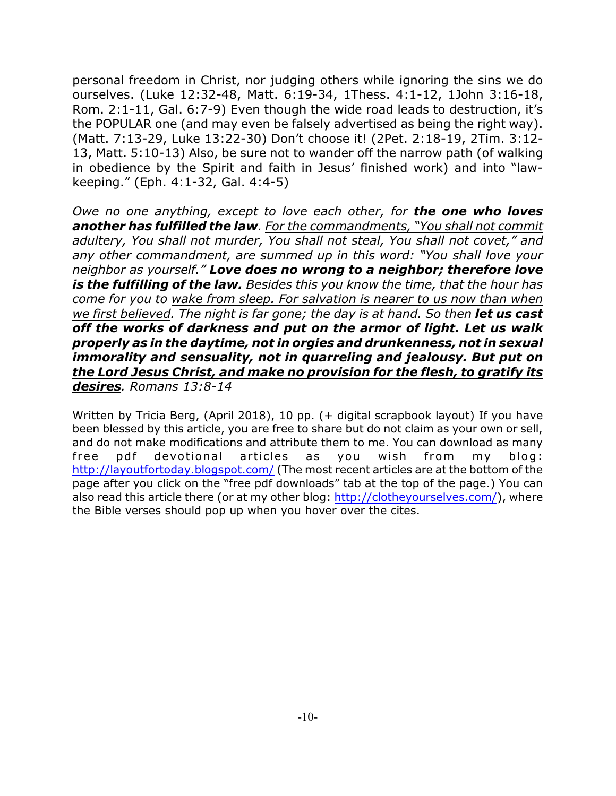personal freedom in Christ, nor judging others while ignoring the sins we do ourselves. (Luke 12:32-48, Matt. 6:19-34, 1Thess. 4:1-12, 1John 3:16-18, Rom. 2:1-11, Gal. 6:7-9) Even though the wide road leads to destruction, it's the POPULAR one (and may even be falsely advertised as being the right way). (Matt. 7:13-29, Luke 13:22-30) Don't choose it! (2Pet. 2:18-19, 2Tim. 3:12- 13, Matt. 5:10-13) Also, be sure not to wander off the narrow path (of walking in obedience by the Spirit and faith in Jesus' finished work) and into "lawkeeping." (Eph. 4:1-32, Gal. 4:4-5)

*Owe no one anything, except to love each other, for the one who loves another has fulfilled the law. For the commandments, "You shall not commit adultery, You shall not murder, You shall not steal, You shall not covet," and any other commandment, are summed up in this word: "You shall love your neighbor as yourself." Love does no wrong to a neighbor; therefore love is the fulfilling of the law. Besides this you know the time, that the hour has come for you to wake from sleep. For salvation is nearer to us now than when we first believed. The night is far gone; the day is at hand. So then let us cast off the works of darkness and put on the armor of light. Let us walk properly as in the daytime, not in orgies and drunkenness, not in sexual immorality and sensuality, not in quarreling and jealousy. But put on the Lord Jesus Christ, and make no provision for the flesh, to gratify its desires. Romans 13:8-14*

Written by Tricia Berg, (April 2018), 10 pp. (+ digital scrapbook layout) If you have been blessed by this article, you are free to share but do not claim as your own or sell, and do not make modifications and attribute them to me. You can download as many free pdf devotional articles as you wish from my blog: <http://layoutfortoday.blogspot.com/> (The most recent articles are at the bottom of the page after you click on the "free pdf downloads" tab at the top of the page.) You can also read this article there (or at my other blog: <http://clotheyourselves.com/>), where the Bible verses should pop up when you hover over the cites.